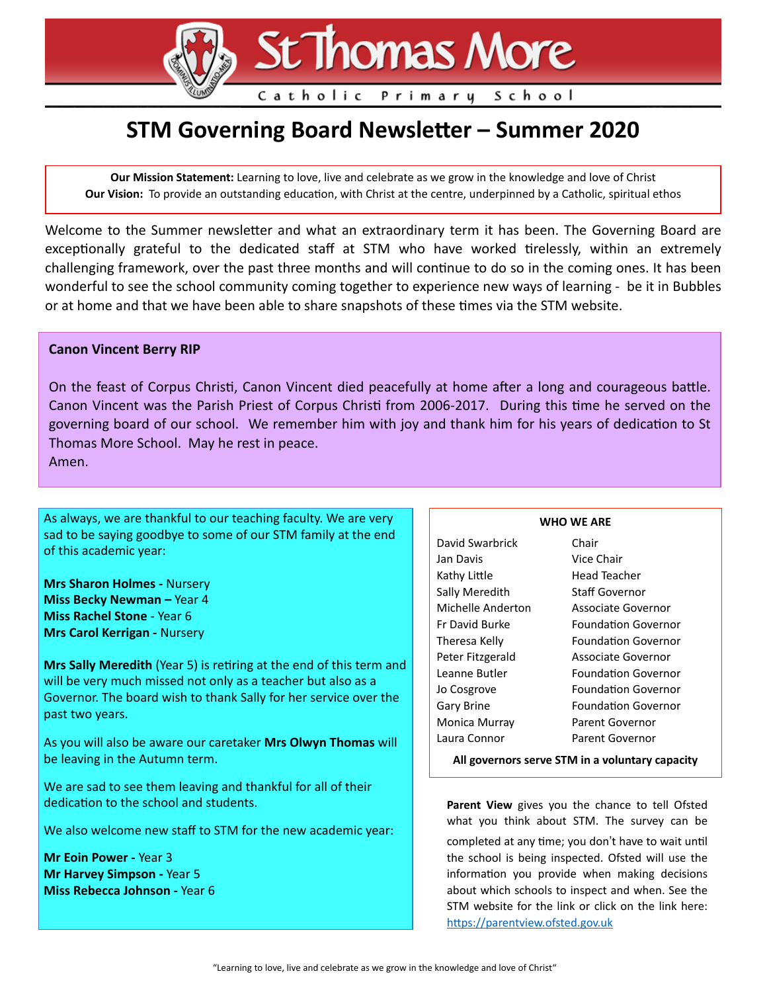# St Thomas More

## Catholic Primary School

# **STM Governing Board Newsletter – Summer 2020**

**Our Mission Statement:** Learning to love, live and celebrate as we grow in the knowledge and love of Christ **Our Vision:** To provide an outstanding education, with Christ at the centre, underpinned by a Catholic, spiritual ethos

Welcome to the Summer newsletter and what an extraordinary term it has been. The Governing Board are exceptionally grateful to the dedicated staff at STM who have worked tirelessly, within an extremely challenging framework, over the past three months and will continue to do so in the coming ones. It has been wonderful to see the school community coming together to experience new ways of learning - be it in Bubbles or at home and that we have been able to share snapshots of these times via the STM website.

#### **Canon Vincent Berry RIP**

On the feast of Corpus Christi, Canon Vincent died peacefully at home after a long and courageous battle. Canon Vincent was the Parish Priest of Corpus Christi from 2006-2017. During this time he served on the governing board of our school. We remember him with joy and thank him for his years of dedication to St Thomas More School. May he rest in peace. Amen.

As always, we are thankful to our teaching faculty. We are very sad to be saying goodbye to some of our STM family at the end of this academic year:

**Mrs Sharon Holmes -** Nursery **Miss Becky Newman –** Year 4 **Miss Rachel Stone** - Year 6 **Mrs Carol Kerrigan -** Nursery

**Mrs Sally Meredith** (Year 5) is retiring at the end of this term and will be very much missed not only as a teacher but also as a Governor. The board wish to thank Sally for her service over the past two years.

As you will also be aware our caretaker **Mrs Olwyn Thomas** will be leaving in the Autumn term.

We are sad to see them leaving and thankful for all of their dedication to the school and students.

We also welcome new staff to STM for the new academic year:

**Mr Eoin Power -** Year 3 **Mr Harvey Simpson -** Year 5 **Miss Rebecca Johnson -** Year 6

#### **WHO WE ARE**

| David Swarbrick   | Chair                      |
|-------------------|----------------------------|
| Jan Davis         | Vice Chair                 |
| Kathy Little      | Head Teacher               |
| Sally Meredith    | Staff Governor             |
| Michelle Anderton | Associate Governor         |
| Er David Burke    | <b>Foundation Governor</b> |
| Theresa Kelly     | Foundation Governor        |
| Peter Fitzgerald  | Associate Governor         |
| Leanne Butler     | <b>Foundation Governor</b> |
| Jo Cosgrove       | <b>Foundation Governor</b> |
| Gary Brine        | <b>Foundation Governor</b> |
| Monica Murray     | Parent Governor            |
| Laura Connor      | <b>Parent Governor</b>     |
|                   |                            |

**All governors serve STM in a voluntary capacity** 

**Parent View** gives you the chance to tell Ofsted what you think about STM. The survey can be

completed at any time; you don't have to wait until the school is being inspected. Ofsted will use the information you provide when making decisions about which schools to inspect and when. See the STM website for the link or click on the link here: https://parentview.ofsted.gov.uk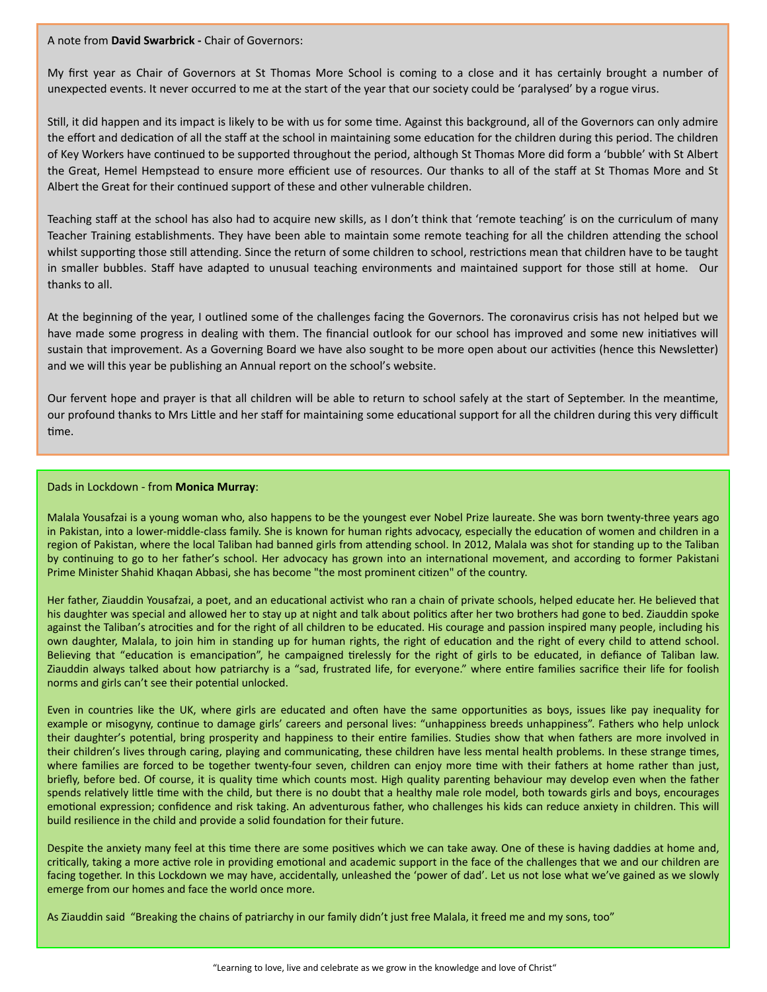A note from **David Swarbrick -** Chair of Governors:

My first year as Chair of Governors at St Thomas More School is coming to a close and it has certainly brought a number of unexpected events. It never occurred to me at the start of the year that our society could be 'paralysed' by a rogue virus.

Still, it did happen and its impact is likely to be with us for some time. Against this background, all of the Governors can only admire the effort and dedication of all the staff at the school in maintaining some education for the children during this period. The children of Key Workers have continued to be supported throughout the period, although St Thomas More did form a 'bubble' with St Albert the Great, Hemel Hempstead to ensure more efficient use of resources. Our thanks to all of the staff at St Thomas More and St Albert the Great for their continued support of these and other vulnerable children.

Teaching staff at the school has also had to acquire new skills, as I don't think that 'remote teaching' is on the curriculum of many Teacher Training establishments. They have been able to maintain some remote teaching for all the children attending the school whilst supporting those still attending. Since the return of some children to school, restrictions mean that children have to be taught in smaller bubbles. Staff have adapted to unusual teaching environments and maintained support for those still at home. Our thanks to all.

At the beginning of the year, I outlined some of the challenges facing the Governors. The coronavirus crisis has not helped but we have made some progress in dealing with them. The financial outlook for our school has improved and some new initiatives will sustain that improvement. As a Governing Board we have also sought to be more open about our activities (hence this Newsletter) and we will this year be publishing an Annual report on the school's website.

Our fervent hope and prayer is that all children will be able to return to school safely at the start of September. In the meantime, our profound thanks to Mrs Little and her staff for maintaining some educational support for all the children during this very difficult >me.

#### Dads in Lockdown - from **Monica Murray**:

Malala Yousafzai is a young woman who, also happens to be the youngest ever Nobel Prize laureate. She was born twenty-three years ago in Pakistan, into a lower-middle-class family. She is known for human rights advocacy, especially the education of women and children in a region of Pakistan, where the local Taliban had banned girls from attending school. In 2012, Malala was shot for standing up to the Taliban by continuing to go to her father's school. Her advocacy has grown into an international movement, and according to former Pakistani Prime Minister Shahid Khaqan Abbasi, she has become "the most prominent citizen" of the country.

Her father, Ziauddin Yousafzai, a poet, and an educational activist who ran a chain of private schools, helped educate her. He believed that his daughter was special and allowed her to stay up at night and talk about politics after her two brothers had gone to bed. Ziauddin spoke against the Taliban's atrocities and for the right of all children to be educated. His courage and passion inspired many people, including his own daughter, Malala, to join him in standing up for human rights, the right of education and the right of every child to attend school. Believing that "education is emancipation", he campaigned tirelessly for the right of girls to be educated, in defiance of Taliban law. Ziauddin always talked about how patriarchy is a "sad, frustrated life, for everyone." where entire families sacrifice their life for foolish norms and girls can't see their potential unlocked.

Even in countries like the UK, where girls are educated and often have the same opportunities as boys, issues like pay inequality for example or misogyny, continue to damage girls' careers and personal lives: "unhappiness breeds unhappiness". Fathers who help unlock their daughter's potential, bring prosperity and happiness to their entire families. Studies show that when fathers are more involved in their children's lives through caring, playing and communicating, these children have less mental health problems. In these strange times, where families are forced to be together twenty-four seven, children can enjoy more time with their fathers at home rather than just, briefly, before bed. Of course, it is quality time which counts most. High quality parenting behaviour may develop even when the father spends relatively little time with the child, but there is no doubt that a healthy male role model, both towards girls and boys, encourages emotional expression; confidence and risk taking. An adventurous father, who challenges his kids can reduce anxiety in children. This will build resilience in the child and provide a solid foundation for their future.

Despite the anxiety many feel at this time there are some positives which we can take away. One of these is having daddies at home and, critically, taking a more active role in providing emotional and academic support in the face of the challenges that we and our children are facing together. In this Lockdown we may have, accidentally, unleashed the 'power of dad'. Let us not lose what we've gained as we slowly emerge from our homes and face the world once more.

As Ziauddin said "Breaking the chains of patriarchy in our family didn't just free Malala, it freed me and my sons, too"